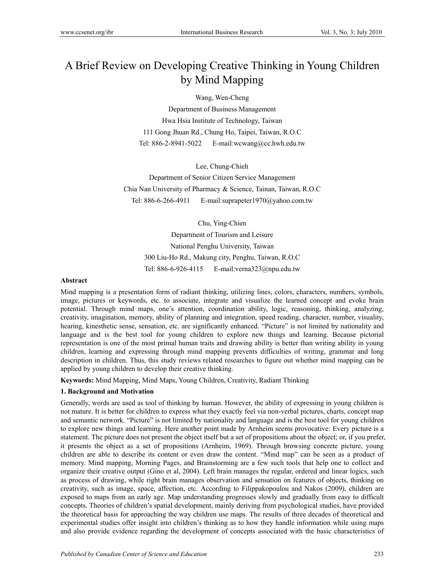# A Brief Review on Developing Creative Thinking in Young Children by Mind Mapping

Wang, Wen-Cheng

Department of Business Management Hwa Hsia Institute of Technology, Taiwan 111 Gong Jhuan Rd., Chung Ho, Taipei, Taiwan, R.O.C Tel: 886-2-8941-5022 E-mail:wcwang@cc.hwh.edu.tw

Lee, Chung-Chieh

Department of Senior Citizen Service Management Chia Nan University of Pharmacy & Science, Tainan, Taiwan, R.O.C Tel: 886-6-266-4911 E-mail:suprapeter1970@yahoo.com.tw

> Chu, Ying-Chien Department of Tourism and Leisure National Penghu University, Taiwan

300 Liu-Ho Rd., Makung city, Penghu, Taiwan, R.O.C

Tel: 886-6-926-4115 E-mail:verna323@npu.edu.tw

## **Abstract**

Mind mapping is a presentation form of radiant thinking, utilizing lines, colors, characters, numbers, symbols, image, pictures or keywords, etc. to associate, integrate and visualize the learned concept and evoke brain potential. Through mind maps, one's attention, coordination ability, logic, reasoning, thinking, analyzing, creativity, imagination, memory, ability of planning and integration, speed reading, character, number, visuality, hearing, kinesthetic sense, sensation, etc. are significantly enhanced. "Picture" is not limited by nationality and language and is the best tool for young children to explore new things and learning. Because pictorial representation is one of the most primal human traits and drawing ability is better than writing ability in young children, learning and expressing through mind mapping prevents difficulties of writing, grammar and long description in children. Thus, this study reviews related researches to figure out whether mind mapping can be applied by young children to develop their creative thinking.

**Keywords:** Mind Mapping, Mind Maps, Young Children, Creativity, Radiant Thinking

# **1. Background and Motivation**

Generally, words are used as tool of thinking by human. However, the ability of expressing in young children is not mature. It is better for children to express what they exactly feel via non-verbal pictures, charts, concept map and semantic network. "Picture" is not limited by nationality and language and is the best tool for young children to explore new things and learning. Here another point made by Arnheim seems provocative: Every picture is a statement. The picture does not present the object itself but a set of propositions about the object; or, if you prefer, it presents the object as a set of propositions (Arnheim, 1969). Through browsing concrete picture, young children are able to describe its content or even draw the content. "Mind map" can be seen as a product of memory. Mind mapping, Morning Pages, and Brainstorming are a few such tools that help one to collect and organize their creative output (Gino et al, 2004). Left brain manages the regular, ordered and linear logics, such as process of drawing, while right brain manages observation and sensation on features of objects, thinking on creativity, such as image, space, affection, etc. According to Filippakopoulou and Nakos (2009), children are exposed to maps from an early age. Map understanding progresses slowly and gradually from easy to difficult concepts. Theories of children's spatial development, mainly deriving from psychological studies, have provided the theoretical basis for approaching the way children use maps. The results of three decades of theoretical and experimental studies offer insight into children's thinking as to how they handle information while using maps and also provide evidence regarding the development of concepts associated with the basic characteristics of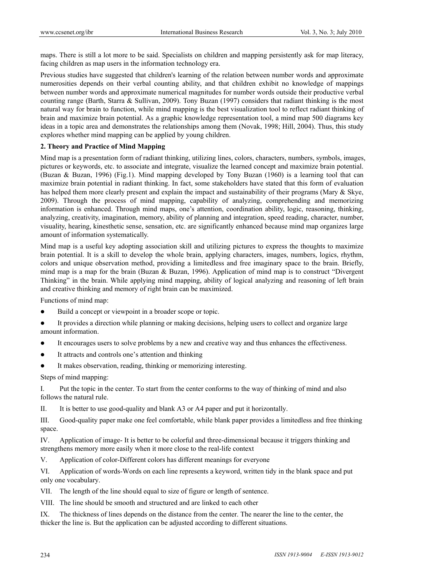maps. There is still a lot more to be said. Specialists on children and mapping persistently ask for map literacy, facing children as map users in the information technology era.

Previous studies have suggested that children's learning of the relation between number words and approximate numerosities depends on their verbal counting ability, and that children exhibit no knowledge of mappings between number words and approximate numerical magnitudes for number words outside their productive verbal counting range (Barth, Starra & Sullivan, 2009). Tony Buzan (1997) considers that radiant thinking is the most natural way for brain to function, while mind mapping is the best visualization tool to reflect radiant thinking of brain and maximize brain potential. As a graphic knowledge representation tool, a mind map 500 diagrams key ideas in a topic area and demonstrates the relationships among them (Novak, 1998; Hill, 2004). Thus, this study explores whether mind mapping can be applied by young children.

# **2. Theory and Practice of Mind Mapping**

Mind map is a presentation form of radiant thinking, utilizing lines, colors, characters, numbers, symbols, images, pictures or keywords, etc. to associate and integrate, visualize the learned concept and maximize brain potential. (Buzan & Buzan, 1996) (Fig.1). Mind mapping developed by Tony Buzan (1960) is a learning tool that can maximize brain potential in radiant thinking. In fact, some stakeholders have stated that this form of evaluation has helped them more clearly present and explain the impact and sustainability of their programs (Mary & Skye, 2009). Through the process of mind mapping, capability of analyzing, comprehending and memorizing information is enhanced. Through mind maps, one's attention, coordination ability, logic, reasoning, thinking, analyzing, creativity, imagination, memory, ability of planning and integration, speed reading, character, number, visuality, hearing, kinesthetic sense, sensation, etc. are significantly enhanced because mind map organizes large amount of information systematically.

Mind map is a useful key adopting association skill and utilizing pictures to express the thoughts to maximize brain potential. It is a skill to develop the whole brain, applying characters, images, numbers, logics, rhythm, colors and unique observation method, providing a limitedless and free imaginary space to the brain. Briefly, mind map is a map for the brain (Buzan & Buzan, 1996). Application of mind map is to construct "Divergent Thinking" in the brain. While applying mind mapping, ability of logical analyzing and reasoning of left brain and creative thinking and memory of right brain can be maximized.

Functions of mind map:

 $\bullet$  Build a concept or viewpoint in a broader scope or topic.

It provides a direction while planning or making decisions, helping users to collect and organize large amount information.

- It encourages users to solve problems by a new and creative way and thus enhances the effectiveness.
- It attracts and controls one's attention and thinking
- $\bullet$  It makes observation, reading, thinking or memorizing interesting.

Steps of mind mapping:

I. Put the topic in the center. To start from the center conforms to the way of thinking of mind and also follows the natural rule.

II. It is better to use good-quality and blank A3 or A4 paper and put it horizontally.

III. Good-quality paper make one feel comfortable, while blank paper provides a limitedless and free thinking space.

IV. Application of image- It is better to be colorful and three-dimensional because it triggers thinking and strengthens memory more easily when it more close to the real-life context

V. Application of color-Different colors has different meanings for everyone

VI. Application of words-Words on each line represents a keyword, written tidy in the blank space and put only one vocabulary.

VII. The length of the line should equal to size of figure or length of sentence.

VIII. The line should be smooth and structured and are linked to each other

IX. The thickness of lines depends on the distance from the center. The nearer the line to the center, the thicker the line is. But the application can be adjusted according to different situations.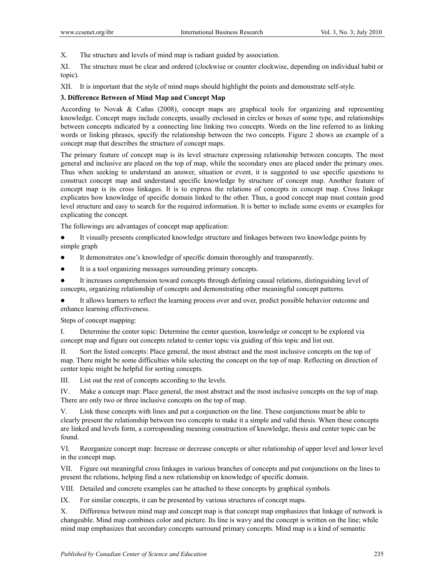X. The structure and levels of mind map is radiant guided by association.

XI. The structure must be clear and ordered (clockwise or counter clockwise, depending on individual habit or topic).

XII. It is important that the style of mind maps should highlight the points and demonstrate self-style.

## **3. Difference Between of Mind Map and Concept Map**

According to Novak & Cañas (2008), concept maps are graphical tools for organizing and representing knowledge. Concept maps include concepts, usually enclosed in circles or boxes of some type, and relationships between concepts indicated by a connecting line linking two concepts. Words on the line referred to as linking words or linking phrases, specify the relationship between the two concepts. Figure 2 shows an example of a concept map that describes the structure of concept maps.

The primary feature of concept map is its level structure expressing relationship between concepts. The most general and inclusive are placed on the top of map, while the secondary ones are placed under the primary ones. Thus when seeking to understand an answer, situation or event, it is suggested to use specific questions to construct concept map and understand specific knowledge by structure of concept map. Another feature of concept map is its cross linkages. It is to express the relations of concepts in concept map. Cross linkage explicates how knowledge of specific domain linked to the other. Thus, a good concept map must contain good level structure and easy to search for the required information. It is better to include some events or examples for explicating the concept.

The followings are advantages of concept map application:

• It visually presents complicated knowledge structure and linkages between two knowledge points by simple graph

It demonstrates one's knowledge of specific domain thoroughly and transparently.

It is a tool organizing messages surrounding primary concepts.

It increases comprehension toward concepts through defining causal relations, distinguishing level of concepts, organizing relationship of concepts and demonstrating other meaningful concept patterns.

• It allows learners to reflect the learning process over and over, predict possible behavior outcome and enhance learning effectiveness.

Steps of concept mapping:

I. Determine the center topic: Determine the center question, knowledge or concept to be explored via concept map and figure out concepts related to center topic via guiding of this topic and list out.

II. Sort the listed concepts: Place general, the most abstract and the most inclusive concepts on the top of map. There might be some difficulties while selecting the concept on the top of map. Reflecting on direction of center topic might be helpful for sorting concepts.

III. List out the rest of concepts according to the levels.

IV. Make a concept map: Place general, the most abstract and the most inclusive concepts on the top of map. There are only two or three inclusive concepts on the top of map.

V. Link these concepts with lines and put a conjunction on the line. These conjunctions must be able to clearly present the relationship between two concepts to make it a simple and valid thesis. When these concepts are linked and levels form, a corresponding meaning construction of knowledge, thesis and center topic can be found.

VI. Reorganize concept map: Increase or decrease concepts or alter relationship of upper level and lower level in the concept map.

VII. Figure out meaningful cross linkages in various branches of concepts and put conjunctions on the lines to present the relations, helping find a new relationship on knowledge of specific domain.

VIII. Detailed and concrete examples can be attached to these concepts by graphical symbols.

IX. For similar concepts, it can be presented by various structures of concept maps.

X. Difference between mind map and concept map is that concept map emphasizes that linkage of network is changeable. Mind map combines color and picture. Its line is wavy and the concept is written on the line; while mind map emphasizes that secondary concepts surround primary concepts. Mind map is a kind of semantic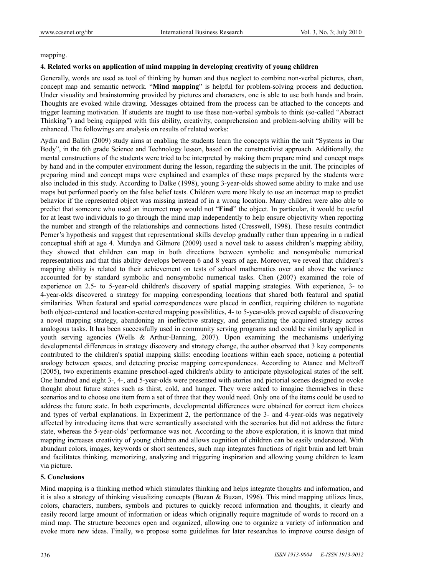mapping.

## **4. Related works on application of mind mapping in developing creativity of young children**

Generally, words are used as tool of thinking by human and thus neglect to combine non-verbal pictures, chart, concept map and semantic network. "**Mind mapping**" is helpful for problem-solving process and deduction. Under visuality and brainstorming provided by pictures and characters, one is able to use both hands and brain. Thoughts are evoked while drawing. Messages obtained from the process can be attached to the concepts and trigger learning motivation. If students are taught to use these non-verbal symbols to think (so-called "Abstract Thinking") and being equipped with this ability, creativity, comprehension and problem-solving ability will be enhanced. The followings are analysis on results of related works:

Aydin and Balim (2009) study aims at enabling the students learn the concepts within the unit "Systems in Our Body", in the 6th grade Science and Technology lesson, based on the constructivist approach. Additionally, the mental constructions of the students were tried to be interpreted by making them prepare mind and concept maps by hand and in the computer environment during the lesson, regarding the subjects in the unit. The principles of preparing mind and concept maps were explained and examples of these maps prepared by the students were also included in this study. According to Dalke (1998), young 3-year-olds showed some ability to make and use maps but performed poorly on the false belief tests. Children were more likely to use an incorrect map to predict behavior if the represented object was missing instead of in a wrong location. Many children were also able to predict that someone who used an incorrect map would not "**Find**" the object. In particular, it would be useful for at least two individuals to go through the mind map independently to help ensure objectivity when reporting the number and strength of the relationships and connections listed (Cresswell, 1998). These results contradict Perner's hypothesis and suggest that representational skills develop gradually rather than appearing in a radical conceptual shift at age 4. Mundya and Gilmore (2009) used a novel task to assess children's mapping ability, they showed that children can map in both directions between symbolic and nonsymbolic numerical representations and that this ability develops between 6 and 8 years of age. Moreover, we reveal that children's mapping ability is related to their achievement on tests of school mathematics over and above the variance accounted for by standard symbolic and nonsymbolic numerical tasks. Chen (2007) examined the role of experience on 2.5- to 5-year-old children's discovery of spatial mapping strategies. With experience, 3- to 4-year-olds discovered a strategy for mapping corresponding locations that shared both featural and spatial similarities. When featural and spatial correspondences were placed in conflict, requiring children to negotiate both object-centered and location-centered mapping possibilities, 4- to 5-year-olds proved capable of discovering a novel mapping strategy, abandoning an ineffective strategy, and generalizing the acquired strategy across analogous tasks. It has been successfully used in community serving programs and could be similarly applied in youth serving agencies (Wells & Arthur-Banning, 2007). Upon examining the mechanisms underlying developmental differences in strategy discovery and strategy change, the author observed that 3 key components contributed to the children's spatial mapping skills: encoding locations within each space, noticing a potential analogy between spaces, and detecting precise mapping correspondences. According to Atance and Meltzoff (2005), two experiments examine preschool-aged children's ability to anticipate physiological states of the self. One hundred and eight 3-, 4-, and 5-year-olds were presented with stories and pictorial scenes designed to evoke thought about future states such as thirst, cold, and hunger. They were asked to imagine themselves in these scenarios and to choose one item from a set of three that they would need. Only one of the items could be used to address the future state. In both experiments, developmental differences were obtained for correct item choices and types of verbal explanations. In Experiment 2, the performance of the 3- and 4-year-olds was negatively affected by introducing items that were semantically associated with the scenarios but did not address the future state, whereas the 5-year-olds' performance was not. According to the above exploration, it is known that mind mapping increases creativity of young children and allows cognition of children can be easily understood. With abundant colors, images, keywords or short sentences, such map integrates functions of right brain and left brain and facilitates thinking, memorizing, analyzing and triggering inspiration and allowing young children to learn via picture.

## **5. Conclusions**

Mind mapping is a thinking method which stimulates thinking and helps integrate thoughts and information, and it is also a strategy of thinking visualizing concepts (Buzan & Buzan, 1996). This mind mapping utilizes lines, colors, characters, numbers, symbols and pictures to quickly record information and thoughts, it clearly and easily record large amount of information or ideas which originally require magnitude of words to record on a mind map. The structure becomes open and organized, allowing one to organize a variety of information and evoke more new ideas. Finally, we propose some guidelines for later researches to improve course design of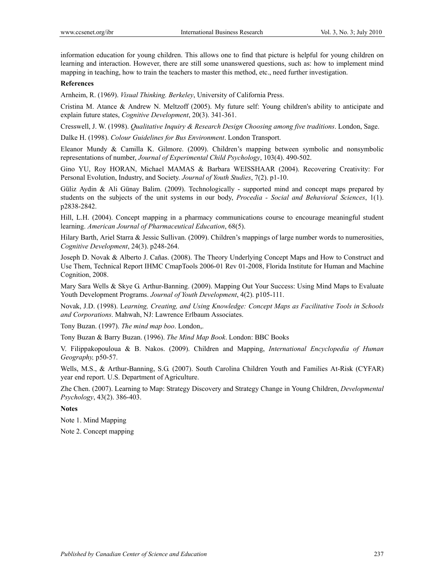information education for young children. This allows one to find that picture is helpful for young children on learning and interaction. However, there are still some unanswered questions, such as: how to implement mind mapping in teaching, how to train the teachers to master this method, etc., need further investigation.

#### **References**

Arnheim, R. (1969). *Visual Thinking. Berkeley*, University of California Press.

Cristina M. Atance & Andrew N. Meltzoff (2005). My future self: Young children's ability to anticipate and explain future states, *Cognitive Development*, 20(3). 341-361.

Cresswell, J. W. (1998). *Qualitative Inquiry & Research Design Choosing among five traditions*. London, Sage.

Dalke H. (1998). *Colour Guidelines for Bus Environment*. London Transport.

Eleanor Mundy & Camilla K. Gilmore. (2009). Children's mapping between symbolic and nonsymbolic representations of number, *Journal of Experimental Child Psychology*, 103(4). 490-502.

Gino YU, Roy HORAN, Michael MAMAS & Barbara WEISSHAAR (2004). Recovering Creativity: For Personal Evolution, Industry, and Society. *Journal of Youth Studies*, 7(2). p1-10.

Güliz Aydin & Ali Günay Balim. (2009). Technologically - supported mind and concept maps prepared by students on the subjects of the unit systems in our body, *Procedia - Social and Behavioral Sciences*, 1(1). p2838-2842.

Hill, L.H. (2004). Concept mapping in a pharmacy communications course to encourage meaningful student learning. *American Journal of Pharmaceutical Education*, 68(5).

Hilary Barth, Ariel Starra & Jessic Sullivan. (2009). Children's mappings of large number words to numerosities, *Cognitive Development*, 24(3). p248-264.

Joseph D. Novak & Alberto J. Cañas. (2008). The Theory Underlying Concept Maps and How to Construct and Use Them, Technical Report IHMC CmapTools 2006-01 Rev 01-2008, Florida Institute for Human and Machine Cognition, 2008.

Mary Sara Wells & Skye G. Arthur-Banning. (2009). Mapping Out Your Success: Using Mind Maps to Evaluate Youth Development Programs. *Journal of Youth Development*, 4(2). p105-111.

Novak, J.D. (1998). L*earning, Creating, and Using Knowledge: Concept Maps as Facilitative Tools in Schools and Corporations*. Mahwah, NJ: Lawrence Erlbaum Associates.

Tony Buzan. (1997). *The mind map boo*. London,.

Tony Buzan & Barry Buzan. (1996). *The Mind Map Book*. London: BBC Books

V. Filippakopouloua & B. Nakos. (2009). Children and Mapping, *International Encyclopedia of Human Geography,* p50-57.

Wells, M.S., & Arthur-Banning, S.G. (2007). South Carolina Children Youth and Families At-Risk (CYFAR) year end report. U.S. Department of Agriculture.

Zhe Chen. (2007). Learning to Map: Strategy Discovery and Strategy Change in Young Children, *Developmental Psychology*, 43(2). 386-403.

## **Notes**

Note 1. Mind Mapping

Note 2. Concept mapping